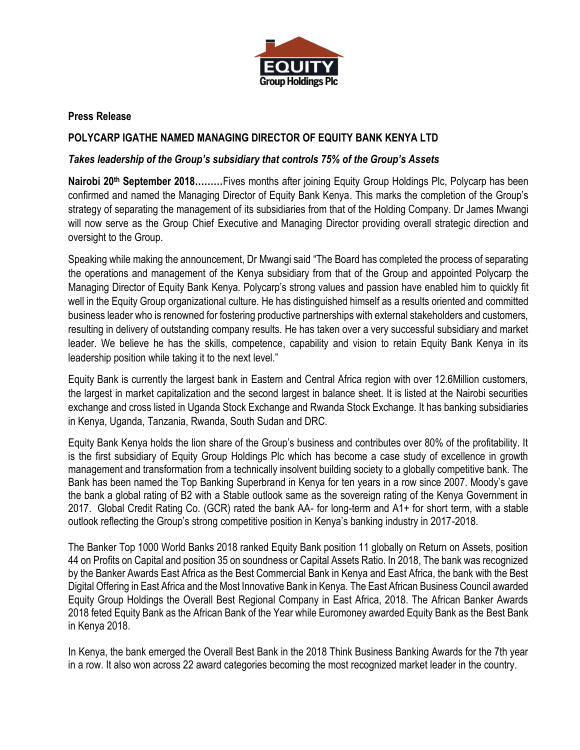

## **Press Release**

## **POLYCARP IGATHE NAMED MANAGING DIRECTOR OF EQUITY BANK KENYA LTD**

## *Takes leadership of the Group's subsidiary that controls 75% of the Group's Assets*

**Nairobi 20th September 2018………**Fives months after joining Equity Group Holdings Plc, Polycarp has been confirmed and named the Managing Director of Equity Bank Kenya. This marks the completion of the Group's strategy of separating the management of its subsidiaries from that of the Holding Company. Dr James Mwangi will now serve as the Group Chief Executive and Managing Director providing overall strategic direction and oversight to the Group.

Speaking while making the announcement, Dr Mwangi said "The Board has completed the process of separating the operations and management of the Kenya subsidiary from that of the Group and appointed Polycarp the Managing Director of Equity Bank Kenya. Polycarp's strong values and passion have enabled him to quickly fit well in the Equity Group organizational culture. He has distinguished himself as a results oriented and committed business leader who is renowned for fostering productive partnerships with external stakeholders and customers, resulting in delivery of outstanding company results. He has taken over a very successful subsidiary and market leader. We believe he has the skills, competence, capability and vision to retain Equity Bank Kenya in its leadership position while taking it to the next level."

Equity Bank is currently the largest bank in Eastern and Central Africa region with over 12.6Million customers, the largest in market capitalization and the second largest in balance sheet. It is listed at the Nairobi securities exchange and cross listed in Uganda Stock Exchange and Rwanda Stock Exchange. It has banking subsidiaries in Kenya, Uganda, Tanzania, Rwanda, South Sudan and DRC.

Equity Bank Kenya holds the lion share of the Group's business and contributes over 80% of the profitability. It is the first subsidiary of Equity Group Holdings Plc which has become a case study of excellence in growth management and transformation from a technically insolvent building society to a globally competitive bank. The Bank has been named the Top Banking Superbrand in Kenya for ten years in a row since 2007. Moody's gave the bank a global rating of B2 with a Stable outlook same as the sovereign rating of the Kenya Government in 2017. Global Credit Rating Co. (GCR) rated the bank AA- for long-term and A1+ for short term, with a stable outlook reflecting the Group's strong competitive position in Kenya's banking industry in 2017-2018.

The Banker Top 1000 World Banks 2018 ranked Equity Bank position 11 globally on Return on Assets, position 44 on Profits on Capital and position 35 on soundness or Capital Assets Ratio. In 2018, The bank was recognized by the Banker Awards East Africa as the Best Commercial Bank in Kenya and East Africa, the bank with the Best Digital Offering in East Africa and the Most Innovative Bank in Kenya. The East African Business Council awarded Equity Group Holdings the Overall Best Regional Company in East Africa, 2018. The African Banker Awards 2018 feted Equity Bank as the African Bank of the Year while Euromoney awarded Equity Bank as the Best Bank in Kenya 2018.

In Kenya, the bank emerged the Overall Best Bank in the 2018 Think Business Banking Awards for the 7th year in a row. It also won across 22 award categories becoming the most recognized market leader in the country.